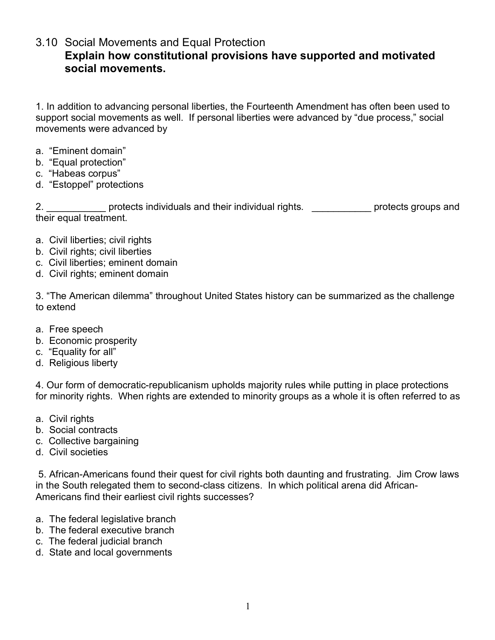3.10 Social Movements and Equal Protection

## **Explain how constitutional provisions have supported and motivated social movements.**

1. In addition to advancing personal liberties, the Fourteenth Amendment has often been used to support social movements as well. If personal liberties were advanced by "due process," social movements were advanced by

- a. "Eminent domain"
- b. "Equal protection"
- c. "Habeas corpus"
- d. "Estoppel" protections

2. \_\_\_\_\_\_\_\_\_\_\_\_\_ protects individuals and their individual rights. \_\_\_\_\_\_\_\_\_\_\_\_\_ protects groups and their equal treatment.

- a. Civil liberties; civil rights
- b. Civil rights; civil liberties
- c. Civil liberties; eminent domain
- d. Civil rights; eminent domain

3. "The American dilemma" throughout United States history can be summarized as the challenge to extend

- a. Free speech
- b. Economic prosperity
- c. "Equality for all"
- d. Religious liberty

4. Our form of democratic-republicanism upholds majority rules while putting in place protections for minority rights. When rights are extended to minority groups as a whole it is often referred to as

- a. Civil rights
- b. Social contracts
- c. Collective bargaining
- d. Civil societies

5. African-Americans found their quest for civil rights both daunting and frustrating. Jim Crow laws in the South relegated them to second-class citizens. In which political arena did African-Americans find their earliest civil rights successes?

- a. The federal legislative branch
- b. The federal executive branch
- c. The federal judicial branch
- d. State and local governments